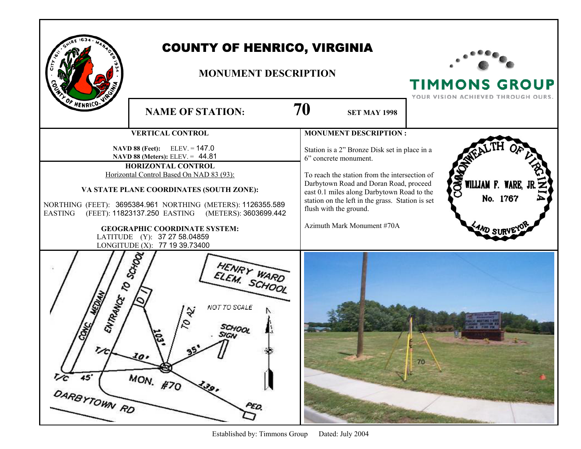|                                                            | <b>COUNTY OF HENRICO, VIRGINIA</b><br><b>MONUMENT DESCRIPTION</b>                                                                                                                                                                                                                                                                                                                                                   | <b>TIMMONS GROUP</b><br>YOUR VISION ACHIEVED THROUGH OURS.                                                                                                                                                                                                                                                                  |                                     |
|------------------------------------------------------------|---------------------------------------------------------------------------------------------------------------------------------------------------------------------------------------------------------------------------------------------------------------------------------------------------------------------------------------------------------------------------------------------------------------------|-----------------------------------------------------------------------------------------------------------------------------------------------------------------------------------------------------------------------------------------------------------------------------------------------------------------------------|-------------------------------------|
| OF HENRICO.                                                | <b>NAME OF STATION:</b>                                                                                                                                                                                                                                                                                                                                                                                             | 70<br><b>SET MAY 1998</b>                                                                                                                                                                                                                                                                                                   |                                     |
|                                                            | <b>VERTICAL CONTROL</b>                                                                                                                                                                                                                                                                                                                                                                                             | <b>MONUMENT DESCRIPTION:</b>                                                                                                                                                                                                                                                                                                |                                     |
| <b>EASTING</b>                                             | NAVD 88 (Feet): ELEV. = 147.0<br>NAVD 88 (Meters): ELEV. = 44.81<br><b>HORIZONTAL CONTROL</b><br>Horizontal Control Based On NAD 83 (93):<br>VA STATE PLANE COORDINATES (SOUTH ZONE):<br>NORTHING (FEET): 3695384.961 NORTHING (METERS): 1126355.589<br>(FEET): 11823137.250 EASTING (METERS): 3603699.442<br><b>GEOGRAPHIC COORDINATE SYSTEM:</b><br>LATITUDE (Y): 37 27 58.04859<br>LONGITUDE (X): 77 19 39.73400 | Station is a 2" Bronze Disk set in place in a<br>6" concrete monument.<br>To reach the station from the intersection of<br>Darbytown Road and Doran Road, proceed<br>east 0.1 miles along Darbytown Road to the<br>station on the left in the grass. Station is set<br>flush with the ground.<br>Azimuth Mark Monument #70A | COM<br>WILLIAM F. WARE,<br>No. 1767 |
| ENTRANCE TO SCHOOL<br>$\frac{1}{C}$<br>45'<br>DARBYTOWN RD | HENRY WARD<br>NOT TO SCALE<br>۱S,<br>33<br>$10 -$<br>MON. #70<br>139,<br>PED.                                                                                                                                                                                                                                                                                                                                       |                                                                                                                                                                                                                                                                                                                             | 70                                  |